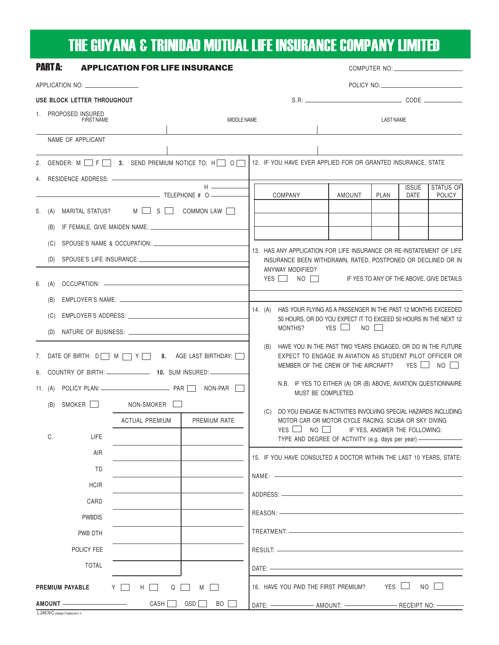## THE GUYANA & TRINIDAD MUTUAL LIFE INSURANCE COMPANY LIMITED

| <b>PART A:</b>                                                 |                                                             |                                       | <b>APPLICATION FOR LIFE INSURANCE</b>           |                                                                                                                                                                                |                                                              |                                                    |                                                                                                                                                                                                                                |        |             |              |               |  |  |
|----------------------------------------------------------------|-------------------------------------------------------------|---------------------------------------|-------------------------------------------------|--------------------------------------------------------------------------------------------------------------------------------------------------------------------------------|--------------------------------------------------------------|----------------------------------------------------|--------------------------------------------------------------------------------------------------------------------------------------------------------------------------------------------------------------------------------|--------|-------------|--------------|---------------|--|--|
| APPLICATION NO: __________________                             |                                                             |                                       |                                                 |                                                                                                                                                                                |                                                              |                                                    |                                                                                                                                                                                                                                |        |             |              |               |  |  |
| USE BLOCK LETTER THROUGHOUT                                    |                                                             |                                       |                                                 |                                                                                                                                                                                |                                                              |                                                    |                                                                                                                                                                                                                                |        |             |              |               |  |  |
|                                                                | 1. PROPOSED INSURED<br><b>FIRST NAME</b>                    |                                       | MIDDLE NAME                                     |                                                                                                                                                                                |                                                              |                                                    | <b>LAST NAME</b>                                                                                                                                                                                                               |        |             |              |               |  |  |
|                                                                |                                                             | NAME OF APPLICANT                     |                                                 |                                                                                                                                                                                |                                                              |                                                    |                                                                                                                                                                                                                                |        |             |              |               |  |  |
|                                                                |                                                             |                                       |                                                 |                                                                                                                                                                                |                                                              |                                                    |                                                                                                                                                                                                                                |        |             |              |               |  |  |
|                                                                |                                                             |                                       | 2. GENDER: M F F 3. SEND PREMIUM NOTICE TO: H O |                                                                                                                                                                                | 12. IF YOU HAVE EVER APPLIED FOR OR GRANTED INSURANCE, STATE |                                                    |                                                                                                                                                                                                                                |        |             |              |               |  |  |
|                                                                |                                                             |                                       |                                                 | $H \longrightarrow$                                                                                                                                                            |                                                              |                                                    |                                                                                                                                                                                                                                |        |             | <b>ISSUE</b> | STATUS OF     |  |  |
|                                                                |                                                             |                                       |                                                 |                                                                                                                                                                                |                                                              |                                                    | <b>COMPANY</b>                                                                                                                                                                                                                 | AMOUNT | <b>PLAN</b> | <b>DATE</b>  | <b>POLICY</b> |  |  |
|                                                                | $M \cup S$<br>MARITAL STATUS?<br>COMMON LAW    <br>5. $(A)$ |                                       |                                                 |                                                                                                                                                                                |                                                              |                                                    |                                                                                                                                                                                                                                |        |             |              |               |  |  |
|                                                                | (B)                                                         |                                       |                                                 |                                                                                                                                                                                |                                                              |                                                    |                                                                                                                                                                                                                                |        |             |              |               |  |  |
|                                                                | (C)                                                         |                                       |                                                 | 13. HAS ANY APPLICATION FOR LIFE INSURANCE OR RE-INSTATEMENT OF LIFE<br>INSURANCE BEEN WITHDRAWN, RATED, POSTPONED OR DECLINED OR IN<br>ANYWAY MODIFIED?                       |                                                              |                                                    |                                                                                                                                                                                                                                |        |             |              |               |  |  |
|                                                                | (D)                                                         |                                       |                                                 |                                                                                                                                                                                |                                                              |                                                    |                                                                                                                                                                                                                                |        |             |              |               |  |  |
|                                                                | 6. (A)                                                      |                                       |                                                 |                                                                                                                                                                                |                                                              |                                                    | YES   NO   IF YES TO ANY OF THE ABOVE, GIVE DETAILS                                                                                                                                                                            |        |             |              |               |  |  |
|                                                                | (B)                                                         |                                       |                                                 |                                                                                                                                                                                |                                                              |                                                    |                                                                                                                                                                                                                                |        |             |              |               |  |  |
|                                                                | (C)                                                         |                                       |                                                 | 14. (A) HAS YOUR FLYING AS A PASSENGER IN THE PAST 12 MONTHS EXCEEDED<br>50 HOURS, OR DO YOU EXPECT IT TO EXCEED 50 HOURS IN THE NEXT 12<br>YES<br>$NO$ $\Box$<br>MONTHS?      |                                                              |                                                    |                                                                                                                                                                                                                                |        |             |              |               |  |  |
|                                                                | (D)                                                         |                                       |                                                 |                                                                                                                                                                                |                                                              |                                                    |                                                                                                                                                                                                                                |        |             |              |               |  |  |
| 7. DATE OF BIRTH: $D \cap M \cap Y \cap$ 8. AGE LAST BIRTHDAY: |                                                             |                                       |                                                 | HAVE YOU IN THE PAST TWO YEARS ENGAGED, OR DO IN THE FUTURE<br>(B)<br>EXPECT TO ENGAGE IN AVIATION AS STUDENT PILOT OFFICER OR<br>MEMBER OF THE CREW OF THE AIRCRAFT? YES I NO |                                                              |                                                    |                                                                                                                                                                                                                                |        |             |              |               |  |  |
|                                                                |                                                             | 9. COUNTRY OF BIRTH: 10. SUM INSURED: |                                                 | N.B. IF YES TO EITHER (A) OR (B) ABOVE, AVIATION QUESTIONNAIRE                                                                                                                 |                                                              |                                                    |                                                                                                                                                                                                                                |        |             |              |               |  |  |
|                                                                |                                                             |                                       |                                                 |                                                                                                                                                                                |                                                              | MUST BE COMPLETED.                                 |                                                                                                                                                                                                                                |        |             |              |               |  |  |
|                                                                | (B)                                                         | SMOKER <b>N</b>                       | NON-SMOKER                                      |                                                                                                                                                                                |                                                              |                                                    | (C) DO YOU ENGAGE IN ACTIVITIES INVOLVING SPECIAL HAZARDS INCLUDING                                                                                                                                                            |        |             |              |               |  |  |
|                                                                |                                                             |                                       | <b>ACTUAL PREMIUM</b>                           | PREMIUM RATE                                                                                                                                                                   |                                                              |                                                    | MOTOR CAR OR MOTOR CYCLE RACING, SCUBA OR SKY DIVING<br>YES LI NO LI IF YES, ANSWER THE FOLLOWING:                                                                                                                             |        |             |              |               |  |  |
|                                                                | С.                                                          | <b>LIFE</b>                           |                                                 |                                                                                                                                                                                |                                                              | TYPE AND DEGREE OF ACTIVITY (e.g. days per year) - |                                                                                                                                                                                                                                |        |             |              |               |  |  |
|                                                                |                                                             | AIR                                   |                                                 |                                                                                                                                                                                |                                                              |                                                    | 15. IF YOU HAVE CONSULTED A DOCTOR WITHIN THE LAST 10 YEARS, STATE:                                                                                                                                                            |        |             |              |               |  |  |
|                                                                |                                                             | TD                                    |                                                 |                                                                                                                                                                                |                                                              |                                                    | NAME: $-$                                                                                                                                                                                                                      |        |             |              |               |  |  |
|                                                                |                                                             | <b>HCIR</b>                           |                                                 |                                                                                                                                                                                |                                                              |                                                    |                                                                                                                                                                                                                                |        |             |              |               |  |  |
| CARD                                                           |                                                             |                                       |                                                 |                                                                                                                                                                                |                                                              |                                                    |                                                                                                                                                                                                                                |        |             |              |               |  |  |
|                                                                |                                                             | <b>PWBDIS</b>                         |                                                 |                                                                                                                                                                                |                                                              |                                                    | REASON: New York State State State State State State State State State State State State State State State State State State State State State State State State State State State State State State State State State State S |        |             |              |               |  |  |
| PWB DTH<br>POLICY FEE<br><b>TOTAL</b>                          |                                                             |                                       |                                                 |                                                                                                                                                                                |                                                              |                                                    |                                                                                                                                                                                                                                |        |             |              |               |  |  |
|                                                                |                                                             |                                       |                                                 |                                                                                                                                                                                |                                                              |                                                    |                                                                                                                                                                                                                                |        |             |              |               |  |  |
|                                                                |                                                             |                                       |                                                 |                                                                                                                                                                                |                                                              |                                                    |                                                                                                                                                                                                                                |        |             |              |               |  |  |
| H<br>Q<br>PREMIUM PAYABLE<br>Y    <br>$M \mid$                 |                                                             |                                       |                                                 |                                                                                                                                                                                |                                                              |                                                    | 16. HAVE YOU PAID THE FIRST PREMIUM?                                                                                                                                                                                           |        |             | YES L        | $NO$ $\Box$   |  |  |
|                                                                |                                                             |                                       | CASH <sup>I</sup>                               | GSD<br>BO                                                                                                                                                                      |                                                              |                                                    | DATE: --------------------- AMOUNT: ----------------------------------- RECEIPT NO: -------                                                                                                                                    |        |             |              |               |  |  |